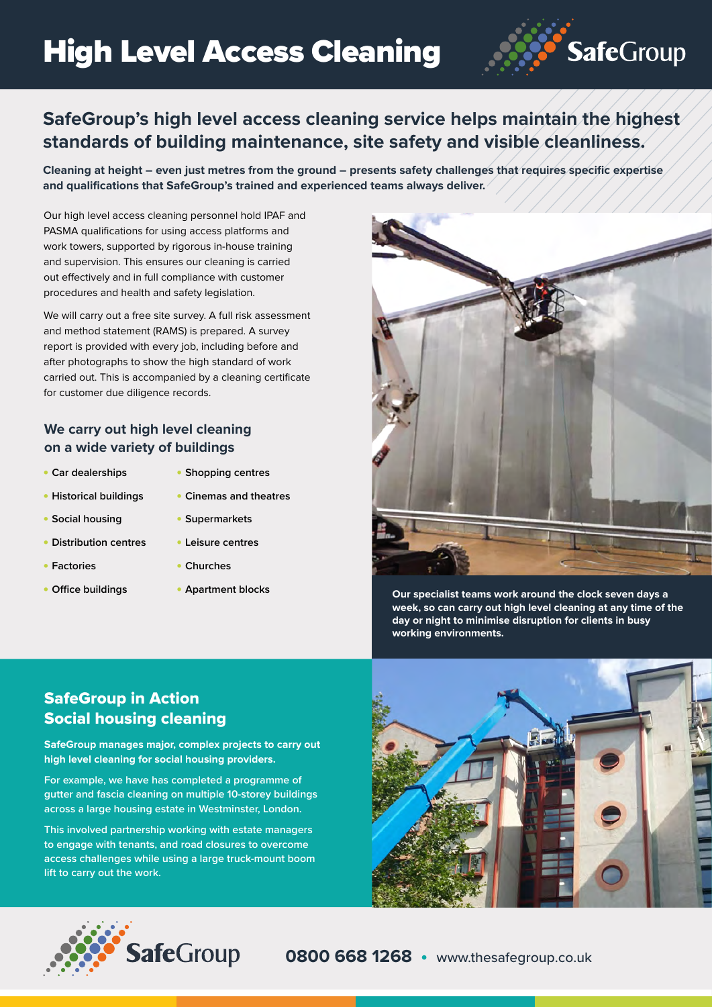

## **SafeGroup's high level access cleaning service helps maintain the highest standards of building maintenance, site safety and visible cleanliness.**

**Cleaning at height – even just metres from the ground – presents safety challenges that requires specific expertise and qualifications that SafeGroup's trained and experienced teams always deliver.**

Our high level access cleaning personnel hold IPAF and PASMA qualifications for using access platforms and work towers, supported by rigorous in-house training and supervision. This ensures our cleaning is carried out effectively and in full compliance with customer procedures and health and safety legislation.

We will carry out a free site survey. A full risk assessment and method statement (RAMS) is prepared. A survey report is provided with every job, including before and after photographs to show the high standard of work carried out. This is accompanied by a cleaning certificate for customer due diligence records.

#### **We carry out high level cleaning on a wide variety of buildings**

- **Car dealerships**
- **Shopping centres**
- **Historical buildings**
- **Cinemas and theatres**

• **Supermarkets** • **Leisure centres**

- **Social housing**
- **Distribution centres**
- **Factories**
- **Office buildings**
- **Churches**
- 



• **Apartment blocks Our specialist teams work around the clock seven days a week, so can carry out high level cleaning at any time of the day or night to minimise disruption for clients in busy working environments.**

### SafeGroup in Action Social housing cleaning

**SafeGroup manages major, complex projects to carry out high level cleaning for social housing providers.**

**For example, we have has completed a programme of gutter and fascia cleaning on multiple 10-storey buildings across a large housing estate in Westminster, London.**

**This involved partnership working with estate managers to engage with tenants, and road closures to overcome access challenges while using a large truck-mount boom lift to carry out the work.**





**0800 668 1268 •** www.thesafegroup.co.uk